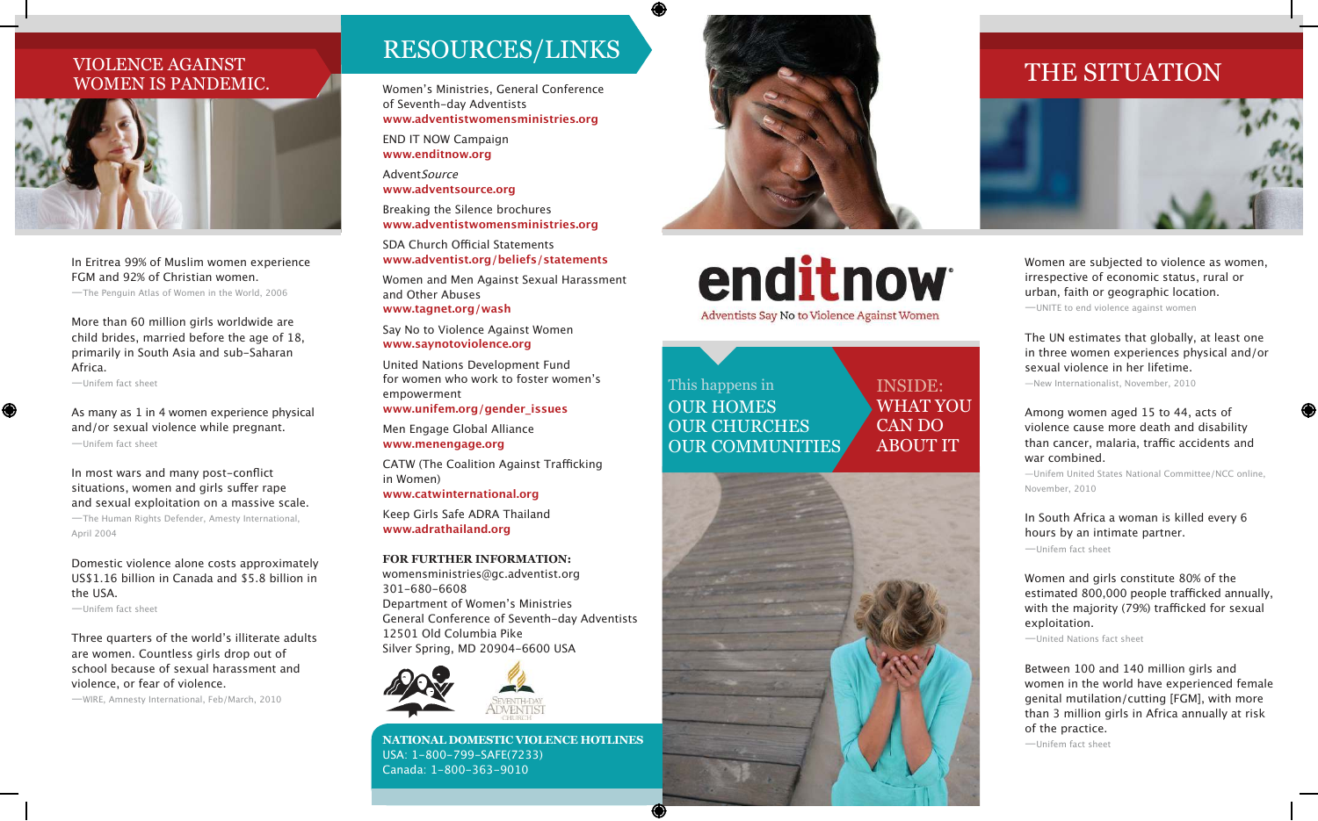## WOMEN IS PANDEMIC.



*In Eritrea 99% of Muslim women experience FGM and 92% of Christian women.* 

*—The Penguin Atlas of Women in the World, 2006*

*More than 60 million girls worldwide are child brides, married before the age of 18, primarily in South Asia and sub-Saharan Africa.* 

*—Unifem fact sheet*

 $\bigcirc$ 

*As many as 1 in 4 women experience physical and/or sexual violence while pregnant. —Unifem fact sheet*

In most wars and many post-conflict situations, women and girls suffer rape *and sexual exploitation on a massive scale. —The Human Rights Defender, Amesty International, April 2004*

*Domestic violence alone costs approximately US\$1.16 billion in Canada and \$5.8 billion in the USA.* 

*—Unifem fact sheet*

Three quarters of the world's illiterate adults *are women. Countless girls drop out of school because of sexual harassment and violence, or fear of violence.* 

*—WIRE, Amnesty International, Feb/March, 2010*

## RESOURCES/LINKS

Women's Ministries, General Conference *of Seventh-day Adventists* **www.adventistwomensministries.org**

*END IT NOW Campaign* **www.enditnow.org**

*AdventSource* **www.adventsource.org**

*Breaking the Silence brochures* **www.adventistwomensministries.org**

SDA Church Official Statements **www.adventist.org/beliefs/statements**

*Women and Men Against Sexual Harassment and Other Abuses* **www.tagnet.org/wash**

*Say No to Violence Against Women* **www.saynotoviolence.org**

*United Nations Development Fund*  for women who work to foster women's *empowerment*

**www.unifem.org/gender\_issues**

*Men Engage Global Alliance* **www.menengage.org**

CATW (The Coalition Against Trafficking *in Women)*

**www.catwinternational.org**

*Keep Girls Safe ADRA Thailand* **www.adrathailand.org**

### **For FurtHer iNFormatioN:**

*womensministries@gc.adventist.org 301-680-6608* Department of Women's Ministries *General Conference of Seventh-day Adventists 12501 Old Columbia Pike Silver Spring, MD 20904-6600 USA*



**NatioNal Domestic VioleNce HotliNes** *USA: 1-800-799-SAFE(7233) Canada: 1-800-363-9010*



## enditnow Adventists Say No to Violence Against Women

INSIDE: wHAT yOU CAN DO AbOUT IT

This happens in OUR HOmES OUR CHURCHES OUR COMMUNITIES.





*Women are subjected to violence as women, irrespective of economic status, rural or urban, faith or geographic location. —UNITE to end violence against women*

*The UN estimates that globally, at least one in three women experiences physical and/or sexual violence in her lifetime.* 

*—New Internationalist, November, 2010*

### *Among women aged 15 to 44, acts of violence cause more death and disability*  than cancer, malaria, traffic accidents and *war combined.*

*—Unifem United States National Committee/NCC online, November, 2010*

*In South Africa a woman is killed every 6 hours by an intimate partner. —Unifem fact sheet*

*Women and girls constitute 80% of the*  estimated 800,000 people trafficked annually, with the majority (79%) trafficked for sexual *exploitation.* 

*—United Nations fact sheet*

*Between 100 and 140 million girls and women in the world have experienced female genital mutilation/cutting [FGM], with more than 3 million girls in Africa annually at risk of the practice. —Unifem fact sheet*